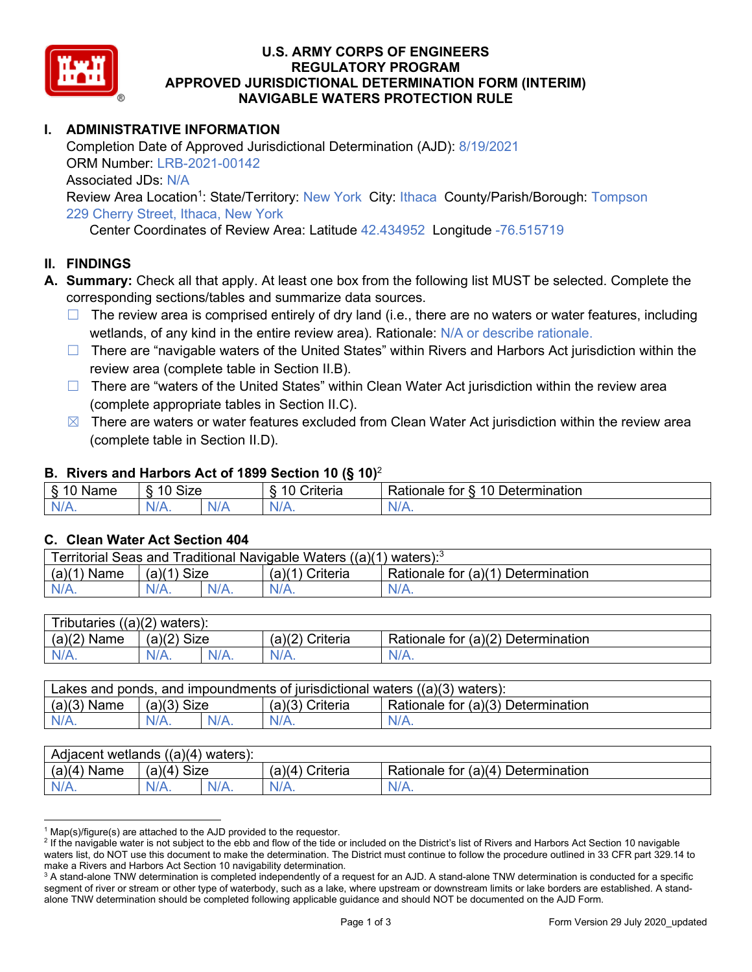

### **U.S. ARMY CORPS OF ENGINEERS REGULATORY PROGRAM APPROVED JURISDICTIONAL DETERMINATION FORM (INTERIM) NAVIGABLE WATERS PROTECTION RULE**

# **I. ADMINISTRATIVE INFORMATION**

Completion Date of Approved Jurisdictional Determination (AJD): 8/19/2021 ORM Number: LRB-2021-00142 Associated JDs: N/A Review Area Location<sup>1</sup>: State/Territory: New York City: Ithaca County/Parish/Borough: Tompson 229 Cherry Street, Ithaca, New York

Center Coordinates of Review Area: Latitude 42.434952 Longitude -76.515719

### **II. FINDINGS**

- **A. Summary:** Check all that apply. At least one box from the following list MUST be selected. Complete the corresponding sections/tables and summarize data sources.
	- $\Box$  The review area is comprised entirely of dry land (i.e., there are no waters or water features, including wetlands, of any kind in the entire review area). Rationale: N/A or describe rationale.
	- □ There are "navigable waters of the United States" within Rivers and Harbors Act jurisdiction within the review area (complete table in Section II.B).
	- $\Box$  There are "waters of the United States" within Clean Water Act jurisdiction within the review area (complete appropriate tables in Section II.C).
	- $\boxtimes$  There are waters or water features excluded from Clean Water Act jurisdiction within the review area (complete table in Section II.D).

#### **B. Rivers and Harbors Act of 1899 Section 10 (§ 10)**<sup>2</sup>

| Name | $\sim$<br>$\overline{a}$<br>SIZE<br>` |   | - -<br><b>Criteria</b> | 10<br>$\overline{\phantom{a}}$<br>-<br>Determination<br>tor<br>⊀atıonale |
|------|---------------------------------------|---|------------------------|--------------------------------------------------------------------------|
| AM 7 | N/4                                   | w | $N$ /                  | N                                                                        |
| .    | 11 L V                                |   | . .                    | <b>***</b> **                                                            |

### **C. Clean Water Act Section 404**

| Traditional Navigable Waters ((a)(1) waters): <sup>3</sup><br>Territorial Seas and |                       |         |                    |                                             |  |
|------------------------------------------------------------------------------------|-----------------------|---------|--------------------|---------------------------------------------|--|
| (a)(1)<br>Name                                                                     | <b>Size</b><br>(a)(1) |         | Criteria<br>(a)(1) | Rationale for $(a)(1)$ D<br>⊦ Determination |  |
| $N/A$ .                                                                            | $N/A$ .               | $N/A$ . |                    | $N/A$ .                                     |  |

| $((a)(2)$ waters):<br>Tributaries, |                |         |                    |                                    |  |
|------------------------------------|----------------|---------|--------------------|------------------------------------|--|
| (a)(2)<br>Name                     | (a)(2)<br>Size |         | (a)(2)<br>Criteria | Rationale for (a)(2) Determination |  |
| $N/A$ .                            | $N/A$ .        | $N/A$ . | $N/A$ .            | $N/A$ .                            |  |

| Lakes and ponds, and impoundments of jurisdictional waters $((a)(3)$ waters): |               |         |                   |                                    |
|-------------------------------------------------------------------------------|---------------|---------|-------------------|------------------------------------|
| $(a)(3)$ Name                                                                 | $(a)(3)$ Size |         | $(a)(3)$ Criteria | Rationale for (a)(3) Determination |
| $N/A$ .                                                                       | $N/A$ .       | $N/A$ . | $N/A$ .           | $N/A$ .                            |

| Adjacent wetlands $((a)(4)$ waters): |                       |         |                    |                                    |  |
|--------------------------------------|-----------------------|---------|--------------------|------------------------------------|--|
| (a)(4)<br>Name                       | (a)(4)<br><b>Size</b> |         | (a)(4)<br>Criteria | Rationale for (a)(4) Determination |  |
| $N/A$ .                              | $N/A$ .               | $N/A$ . |                    | $N/A$ .                            |  |

 $1$  Map(s)/figure(s) are attached to the AJD provided to the requestor.

<sup>&</sup>lt;sup>2</sup> If the navigable water is not subject to the ebb and flow of the tide or included on the District's list of Rivers and Harbors Act Section 10 navigable waters list, do NOT use this document to make the determination. The District must continue to follow the procedure outlined in 33 CFR part 329.14 to make a Rivers and Harbors Act Section 10 navigability determination.

<sup>&</sup>lt;sup>3</sup> A stand-alone TNW determination is completed independently of a request for an AJD. A stand-alone TNW determination is conducted for a specific segment of river or stream or other type of waterbody, such as a lake, where upstream or downstream limits or lake borders are established. A standalone TNW determination should be completed following applicable guidance and should NOT be documented on the AJD Form.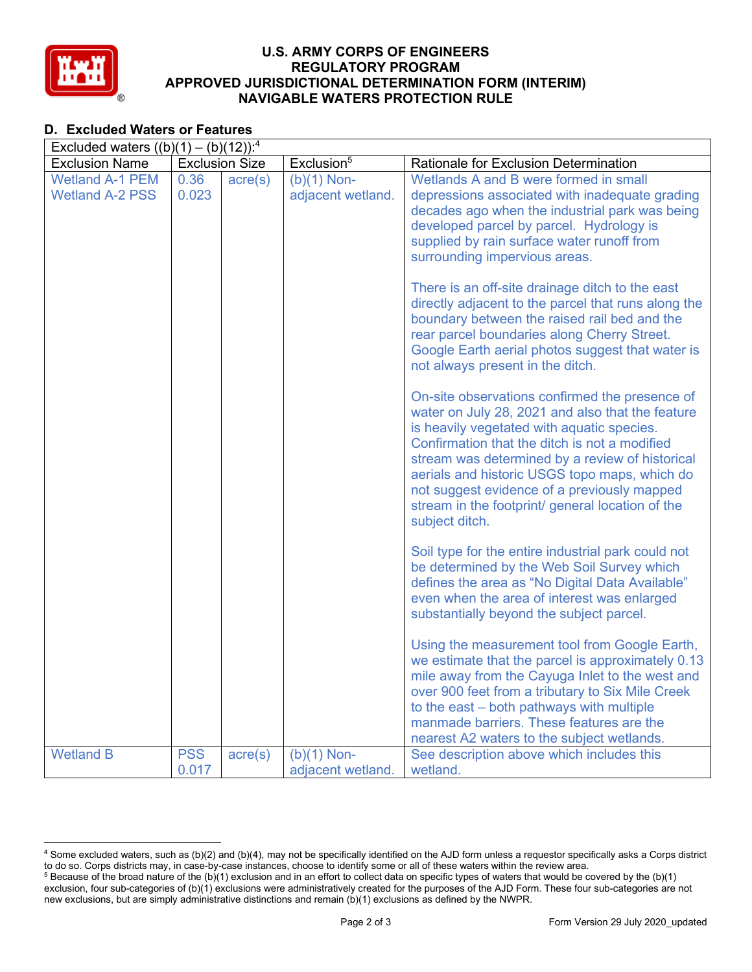

### **U.S. ARMY CORPS OF ENGINEERS REGULATORY PROGRAM APPROVED JURISDICTIONAL DETERMINATION FORM (INTERIM) NAVIGABLE WATERS PROTECTION RULE**

# **D. Excluded Waters or Features**

| Excluded waters $((b)(1) - (b)(12))$ : <sup>4</sup> |                     |                       |                                    |                                                                                                                                                                                                                                                                                                                                                                                                                            |  |
|-----------------------------------------------------|---------------------|-----------------------|------------------------------------|----------------------------------------------------------------------------------------------------------------------------------------------------------------------------------------------------------------------------------------------------------------------------------------------------------------------------------------------------------------------------------------------------------------------------|--|
| <b>Exclusion Name</b>                               |                     | <b>Exclusion Size</b> | Exclusion <sup>5</sup>             | Rationale for Exclusion Determination                                                                                                                                                                                                                                                                                                                                                                                      |  |
| <b>Wetland A-1 PEM</b><br><b>Wetland A-2 PSS</b>    | 0.36<br>0.023       | $\text{acre}(s)$      | $(b)(1)$ Non-<br>adjacent wetland. | Wetlands A and B were formed in small<br>depressions associated with inadequate grading<br>decades ago when the industrial park was being<br>developed parcel by parcel. Hydrology is<br>supplied by rain surface water runoff from<br>surrounding impervious areas.                                                                                                                                                       |  |
|                                                     |                     |                       |                                    | There is an off-site drainage ditch to the east<br>directly adjacent to the parcel that runs along the<br>boundary between the raised rail bed and the<br>rear parcel boundaries along Cherry Street.<br>Google Earth aerial photos suggest that water is<br>not always present in the ditch.                                                                                                                              |  |
|                                                     |                     |                       |                                    | On-site observations confirmed the presence of<br>water on July 28, 2021 and also that the feature<br>is heavily vegetated with aquatic species.<br>Confirmation that the ditch is not a modified<br>stream was determined by a review of historical<br>aerials and historic USGS topo maps, which do<br>not suggest evidence of a previously mapped<br>stream in the footprint/ general location of the<br>subject ditch. |  |
|                                                     |                     |                       |                                    | Soil type for the entire industrial park could not<br>be determined by the Web Soil Survey which<br>defines the area as "No Digital Data Available"<br>even when the area of interest was enlarged<br>substantially beyond the subject parcel.                                                                                                                                                                             |  |
|                                                     |                     |                       |                                    | Using the measurement tool from Google Earth,<br>we estimate that the parcel is approximately 0.13<br>mile away from the Cayuga Inlet to the west and<br>over 900 feet from a tributary to Six Mile Creek<br>to the east – both pathways with multiple<br>manmade barriers. These features are the<br>nearest A2 waters to the subject wetlands.                                                                           |  |
| <b>Wetland B</b>                                    | <b>PSS</b><br>0.017 | $\text{acre}(s)$      | $(b)(1)$ Non-<br>adjacent wetland. | See description above which includes this<br>wetland.                                                                                                                                                                                                                                                                                                                                                                      |  |

<sup>4</sup> Some excluded waters, such as (b)(2) and (b)(4), may not be specifically identified on the AJD form unless a requestor specifically asks a Corps district to do so. Corps districts may, in case-by-case instances, choose to identify some or all of these waters within the review area.

 $5$  Because of the broad nature of the (b)(1) exclusion and in an effort to collect data on specific types of waters that would be covered by the (b)(1) exclusion, four sub-categories of (b)(1) exclusions were administratively created for the purposes of the AJD Form. These four sub-categories are not new exclusions, but are simply administrative distinctions and remain (b)(1) exclusions as defined by the NWPR.